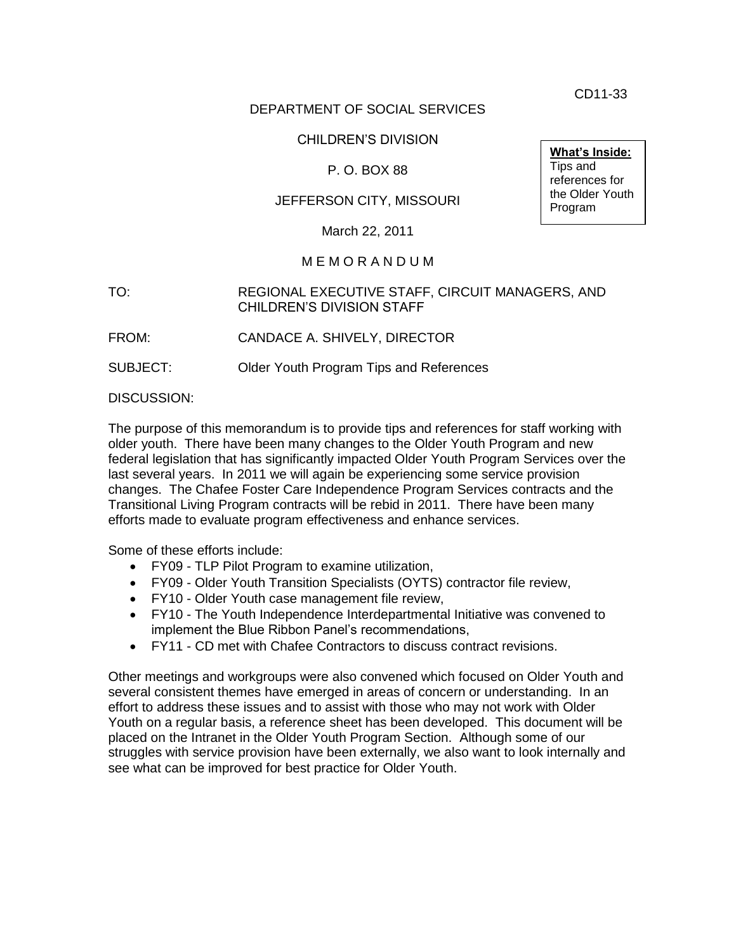CD11-33

**What's Inside:** Tips and references for the Older Youth Program

## DEPARTMENT OF SOCIAL SERVICES

#### CHILDREN'S DIVISION

## P. O. BOX 88

## JEFFERSON CITY, MISSOURI

March 22, 2011

#### M E M O R A N D U M

#### TO: REGIONAL EXECUTIVE STAFF, CIRCUIT MANAGERS, AND CHILDREN'S DIVISION STAFF

FROM: CANDACE A. SHIVELY, DIRECTOR

SUBJECT: Older Youth Program Tips and References

DISCUSSION:

The purpose of this memorandum is to provide tips and references for staff working with older youth. There have been many changes to the Older Youth Program and new federal legislation that has significantly impacted Older Youth Program Services over the last several years. In 2011 we will again be experiencing some service provision changes. The Chafee Foster Care Independence Program Services contracts and the Transitional Living Program contracts will be rebid in 2011. There have been many efforts made to evaluate program effectiveness and enhance services.

Some of these efforts include:

- FY09 TLP Pilot Program to examine utilization,
- FY09 Older Youth Transition Specialists (OYTS) contractor file review,
- FY10 Older Youth case management file review,
- FY10 The Youth Independence Interdepartmental Initiative was convened to implement the Blue Ribbon Panel's recommendations,
- FY11 CD met with Chafee Contractors to discuss contract revisions.

Other meetings and workgroups were also convened which focused on Older Youth and several consistent themes have emerged in areas of concern or understanding. In an effort to address these issues and to assist with those who may not work with Older Youth on a regular basis, a reference sheet has been developed. This document will be placed on the Intranet in the Older Youth Program Section. Although some of our struggles with service provision have been externally, we also want to look internally and see what can be improved for best practice for Older Youth.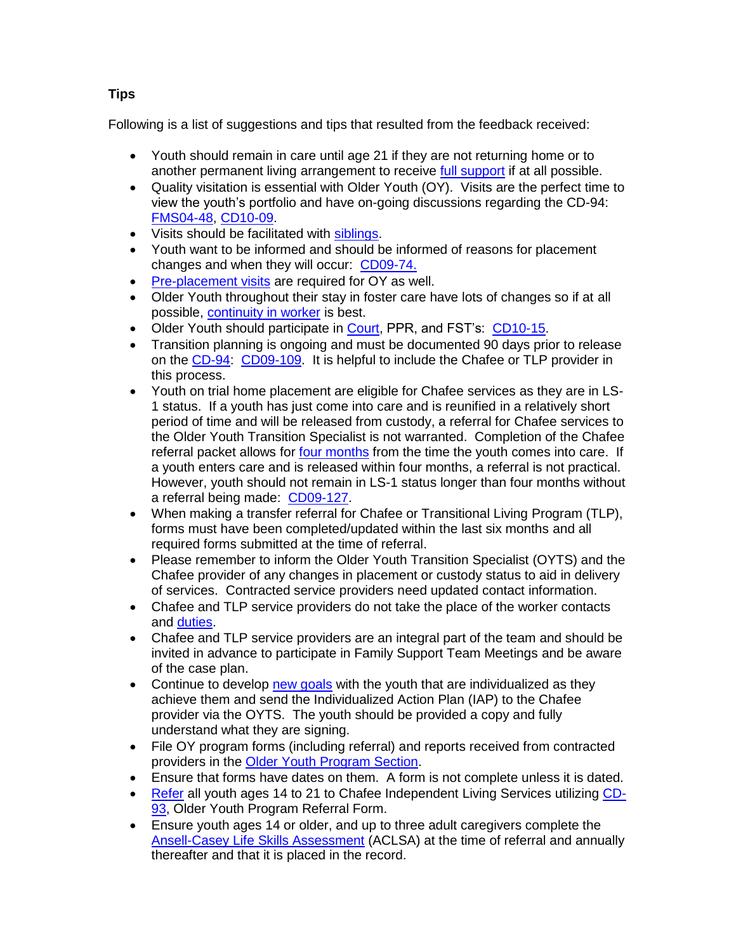# Following is a list of suggestions and tips that resulted from the feedback received:

- Youth should remain in care until age 21 if they are not returning home or to another permanent living arrangement to receive [full support](http://www.dss.mo.gov/cd/chafee/permanency_chart.pdf) if at all possible.
- Quality visitation is essential with Older Youth (OY). Visits are the perfect time to view the youth's portfolio and have on-going discussions regarding the CD-94: [FMS04-48,](http://dssweb/cs/memos/director/2004/48/fms0448.pdf) [CD10-09.](http://www.dss.mo.gov/cd/info/memos/2010/cd10-009.pdf)
- $\overline{\phantom{a}}$  Visits should be facilitated with [siblings.](http://www.dss.mo.gov/cd/info/cwmanual/philbase.pdf)
- Youth want to be informed and should be informed of reasons for placement changes and when they will occur: [CD09-74.](http://www.dss.mo.gov/cd/info/memos/2009/cd0974.pdf)
- [Pre-placement visits](http://www.dss.mo.gov/cd/info/cwmanual/section4/ch5/sec4ch5sub1.htm) are required for OY as well.
- Older Youth throughout their stay in foster care have lots of changes so if at all possible, [continuity in worker](http://www.dss.mo.gov/cd/info/cwmanual/section7/ch1_33/sec7ch17.htm) is best.
- Older Youth should participate in [Court,](http://www.dss.mo.gov/cd/info/cwmanual/section4/ch2/sec4ch2sub3.htm) PPR, and FST's: [CD10-15.](http://www.dss.mo.gov/cd/info/memos/2010/cd10-015.pdf)
- Transition planning is ongoing and must be documented 90 days prior to release on the [CD-94:](http://www.dss.mo.gov/cd/info/forms/index.htm) [CD09-109.](http://www.dss.mo.gov/cd/info/memos/2009/cd09109.pdf) It is helpful to include the Chafee or TLP provider in this process.
- Youth on trial home placement are eligible for Chafee services as they are in LS-1 status. If a youth has just come into care and is reunified in a relatively short period of time and will be released from custody, a referral for Chafee services to the Older Youth Transition Specialist is not warranted. Completion of the Chafee referral packet allows for [four months](http://dssweb/cs/programs/older_youth/flow_chart.pdf) from the time the youth comes into care. If a youth enters care and is released within four months, a referral is not practical. However, youth should not remain in LS-1 status longer than four months without a referral being made: [CD09-127.](http://www.dss.mo.gov/cd/info/memos/2009/cd09127.pdf)
- When making a transfer referral for Chafee or Transitional Living Program (TLP), forms must have been completed/updated within the last six months and all required forms submitted at the time of referral.
- Please remember to inform the Older Youth Transition Specialist (OYTS) and the Chafee provider of any changes in placement or custody status to aid in delivery of services. Contracted service providers need updated contact information.
- Chafee and TLP service providers do not take the place of the worker contacts and [duties.](http://dssweb/cs/programs/older_youth/cfcip-req.htm)
- Chafee and TLP service providers are an integral part of the team and should be invited in advance to participate in Family Support Team Meetings and be aware of the case plan.
- Continue to develop [new goals](http://www.dss.mo.gov/cd/info/cwmanual/section4/ch21/sec4ch21sub3.htm) with the youth that are individualized as they achieve them and send the Individualized Action Plan (IAP) to the Chafee provider via the OYTS. The youth should be provided a copy and fully understand what they are signing.
- File OY program forms (including referral) and reports received from contracted providers in the [Older Youth Program Section.](http://www.dss.mo.gov/cd/info/cwmanual/section5/ch1/sec5ch1sub1.htm)
- Ensure that forms have dates on them. A form is not complete unless it is dated.
- [Refer](http://www.dss.mo.gov/cd/info/cwmanual/section4/ch21/sec4ch21sub3.htm) all youth ages 14 to 21 to Chafee Independent Living Services utilizing [CD-](http://www.dss.mo.gov/cd/info/forms/index.htm)[93,](http://www.dss.mo.gov/cd/info/forms/index.htm) Older Youth Program Referral Form.
- Ensure youth ages 14 or older, and up to three adult caregivers complete the [Ansell-Casey Life Skills Assessment](http://www.dss.mo.gov/cd/info/cwmanual/section4/ch21/sec4ch21sub3.htm) (ACLSA) at the time of referral and annually thereafter and that it is placed in the record.

## **Tips**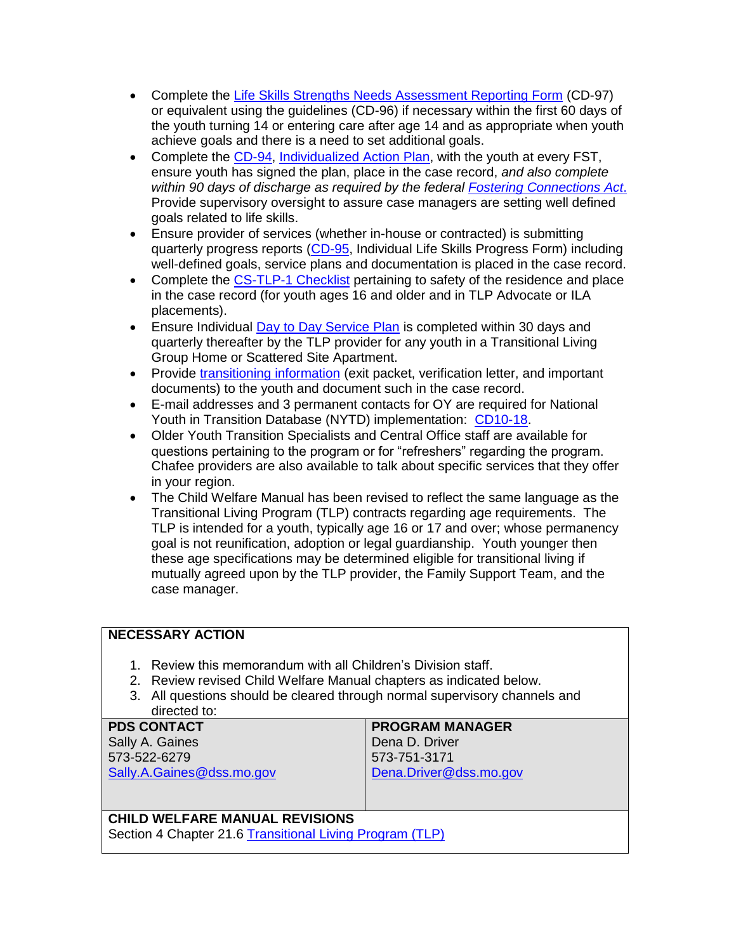- Complete the [Life Skills Strengths Needs Assessment Reporting Form](http://www.dss.mo.gov/cd/info/cwmanual/section4/ch21/sec4ch21sub3.htm) (CD-97) or equivalent using the guidelines (CD-96) if necessary within the first 60 days of the youth turning 14 or entering care after age 14 and as appropriate when youth achieve goals and there is a need to set additional goals.
- Complete the [CD-94,](http://www.dss.mo.gov/cd/info/forms/index.htm) [Individualized Action Plan,](http://www.dss.mo.gov/cd/info/cwmanual/section4/ch21/sec4ch21sub3.htm) with the youth at every FST, ensure youth has signed the plan, place in the case record, *and also complete within 90 days of discharge as required by the federal [Fostering Connections Act](http://www.dss.mo.gov/cd/info/memos/2009/cd09109.pdf)*. Provide supervisory oversight to assure case managers are setting well defined goals related to life skills.
- Ensure provider of services (whether in-house or contracted) is submitting quarterly progress reports [\(CD-95,](http://www.dss.mo.gov/cd/info/forms/index.htm) Individual Life Skills Progress Form) including well-defined goals, service plans and documentation is placed in the case record.
- Complete the [CS-TLP-1 Checklist](http://www.dss.mo.gov/cd/info/forms/index.htm) pertaining to safety of the residence and place in the case record (for youth ages 16 and older and in TLP Advocate or ILA placements).
- Ensure Individual [Day to Day Service Plan](http://www.dss.mo.gov/cd/info/cwmanual/section4/ch21/sec4ch21sub6.htm) is completed within 30 days and quarterly thereafter by the TLP provider for any youth in a Transitional Living Group Home or Scattered Site Apartment.
- Provide [transitioning information](http://www.dss.mo.gov/cd/info/cwmanual/section4/ch21/sec4ch21sub7.htm) (exit packet, verification letter, and important documents) to the youth and document such in the case record.
- E-mail addresses and 3 permanent contacts for OY are required for National Youth in Transition Database (NYTD) implementation: [CD10-18.](http://www.dss.mo.gov/cd/info/memos/2010/cd10-018.pdf)
- Older Youth Transition Specialists and Central Office staff are available for questions pertaining to the program or for "refreshers" regarding the program. Chafee providers are also available to talk about specific services that they offer in your region.
- The Child Welfare Manual has been revised to reflect the same language as the Transitional Living Program (TLP) contracts regarding age requirements. The TLP is intended for a youth, typically age 16 or 17 and over; whose permanency goal is not reunification, adoption or legal guardianship. Youth younger then these age specifications may be determined eligible for transitional living if mutually agreed upon by the TLP provider, the Family Support Team, and the case manager.

## **NECESSARY ACTION**

- 1. Review this memorandum with all Children's Division staff.
- 2. Review revised Child Welfare Manual chapters as indicated below.
- 3. All questions should be cleared through normal supervisory channels and directed to:

| <b>PDS CONTACT</b>        | <b>PROGRAM MANAGER</b> |
|---------------------------|------------------------|
| Sally A. Gaines           | Dena D. Driver         |
| 573-522-6279              | 573-751-3171           |
| Sally.A.Gaines@dss.mo.gov | Dena.Driver@dss.mo.gov |
|                           |                        |
|                           |                        |

## **CHILD WELFARE MANUAL REVISIONS**

Section 4 Chapter 21.6 [Transitional Living Program \(TLP\)](http://www.dss.mo.gov/cd/info/cwmanual/section4/ch21/sec4ch21sub6.htm)